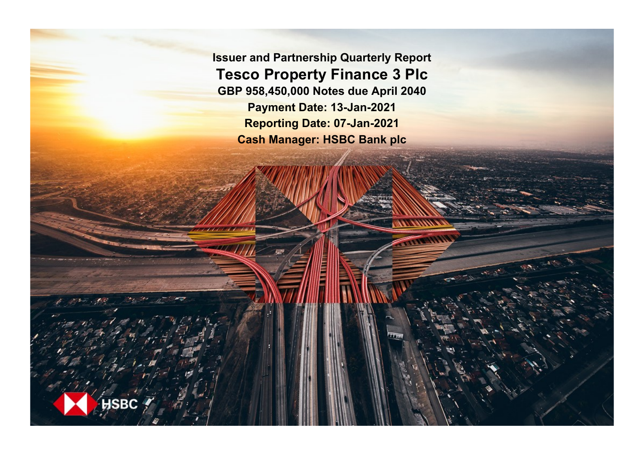**Issuer and Partnership Quarterly Report Tesco Property Finance 3 Plc GBP 958,450,000 Notes due April 2040 Payment Date: 13-Jan-2021 Reporting Date: 07-Jan-2021 Cash Manager: HSBC Bank plc**

**SRC**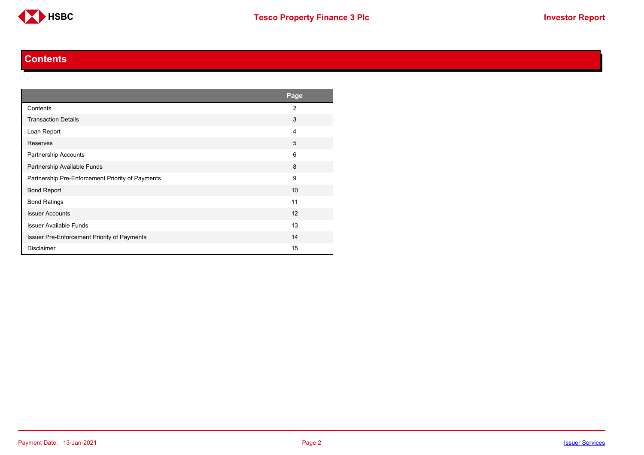

#### **Contents**

<span id="page-1-0"></span>

|                                                  | Page           |
|--------------------------------------------------|----------------|
| Contents                                         | $\overline{2}$ |
| <b>Transaction Details</b>                       | 3              |
| Loan Report                                      | 4              |
| Reserves                                         | 5              |
| Partnership Accounts                             | 6              |
| Partnership Available Funds                      | 8              |
| Partnership Pre-Enforcement Priority of Payments | 9              |
| <b>Bond Report</b>                               | 10             |
| <b>Bond Ratings</b>                              | 11             |
| <b>Issuer Accounts</b>                           | 12             |
| <b>Issuer Available Funds</b>                    | 13             |
| Issuer Pre-Enforcement Priority of Payments      | 14             |
| <b>Disclaimer</b>                                | 15             |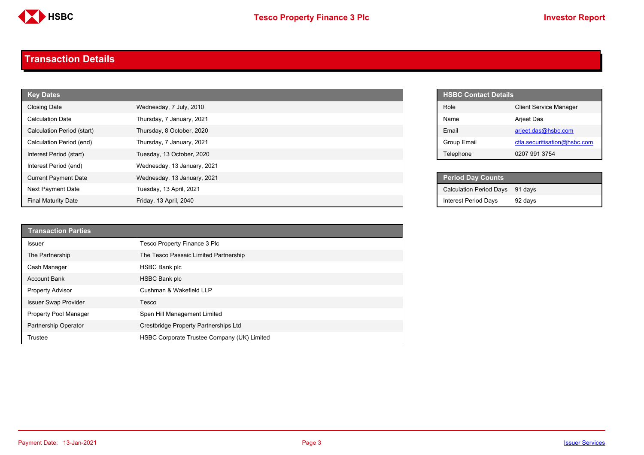

#### <span id="page-2-0"></span>**Transaction Details**

| <b>Key Dates</b>            |                             |  | <b>HSBC Contact Details</b>    |
|-----------------------------|-----------------------------|--|--------------------------------|
| <b>Closing Date</b>         | Wednesday, 7 July, 2010     |  | Role                           |
| <b>Calculation Date</b>     | Thursday, 7 January, 2021   |  | Name                           |
| Calculation Period (start)  | Thursday, 8 October, 2020   |  | Email                          |
| Calculation Period (end)    | Thursday, 7 January, 2021   |  | Group Email                    |
| Interest Period (start)     | Tuesday, 13 October, 2020   |  | Telephone                      |
| Interest Period (end)       | Wednesday, 13 January, 2021 |  |                                |
| <b>Current Payment Date</b> | Wednesday, 13 January, 2021 |  | <b>Period Day Counts</b>       |
| Next Payment Date           | Tuesday, 13 April, 2021     |  | <b>Calculation Period Days</b> |
| <b>Final Maturity Date</b>  | Friday, 13 April, 2040      |  | <b>Interest Period Days</b>    |

| <b>Transaction Parties</b>   |                                             |
|------------------------------|---------------------------------------------|
| <b>Issuer</b>                | Tesco Property Finance 3 Plc                |
| The Partnership              | The Tesco Passaic Limited Partnership       |
| Cash Manager                 | <b>HSBC Bank plc</b>                        |
| <b>Account Bank</b>          | <b>HSBC Bank plc</b>                        |
| <b>Property Advisor</b>      | Cushman & Wakefield LLP                     |
| <b>Issuer Swap Provider</b>  | Tesco                                       |
| <b>Property Pool Manager</b> | Spen Hill Management Limited                |
| <b>Partnership Operator</b>  | Crestbridge Property Partnerships Ltd       |
| Trustee                      | HSBC Corporate Trustee Company (UK) Limited |

| <b>HSBC Contact Details</b> |                               |
|-----------------------------|-------------------------------|
| Role                        | <b>Client Service Manager</b> |
| Name                        | Arjeet Das                    |
| Fmail                       | arjeet.das@hsbc.com           |
| Group Email                 | ctla.securitisation@hsbc.com  |
| Telephone                   | 0207 991 3754                 |

| <b>Period Day Counts</b>        |         |
|---------------------------------|---------|
| Calculation Period Days 91 days |         |
| Interest Period Days            | 92 days |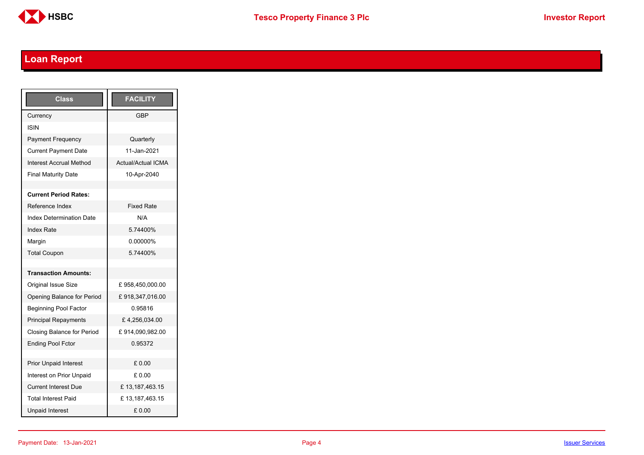

# <span id="page-3-0"></span>**Loan Report**

| <b>Class</b>                    | <b>FACILITY</b>           |
|---------------------------------|---------------------------|
| Currency                        | GBP                       |
| <b>ISIN</b>                     |                           |
| <b>Payment Frequency</b>        | Quarterly                 |
| <b>Current Payment Date</b>     | 11-Jan-2021               |
| <b>Interest Accrual Method</b>  | <b>Actual/Actual ICMA</b> |
| <b>Final Maturity Date</b>      | 10-Apr-2040               |
|                                 |                           |
| <b>Current Period Rates:</b>    |                           |
| Reference Index                 | <b>Fixed Rate</b>         |
| <b>Index Determination Date</b> | N/A                       |
| <b>Index Rate</b>               | 5.74400%                  |
| Margin                          | 0.00000%                  |
| <b>Total Coupon</b>             | 5.74400%                  |
|                                 |                           |
| <b>Transaction Amounts:</b>     |                           |
| Original Issue Size             | £958,450,000.00           |
| Opening Balance for Period      | £918,347,016.00           |
| <b>Beginning Pool Factor</b>    | 0.95816                   |
| <b>Principal Repayments</b>     | £4,256,034.00             |
| Closing Balance for Period      | £914,090,982.00           |
| <b>Ending Pool Fctor</b>        | 0.95372                   |
|                                 |                           |
| <b>Prior Unpaid Interest</b>    | £0.00                     |
| Interest on Prior Unpaid        | £ 0.00                    |
| <b>Current Interest Due</b>     | £13,187,463.15            |
| <b>Total Interest Paid</b>      | £13,187,463.15            |
| <b>Unpaid Interest</b>          | £0.00                     |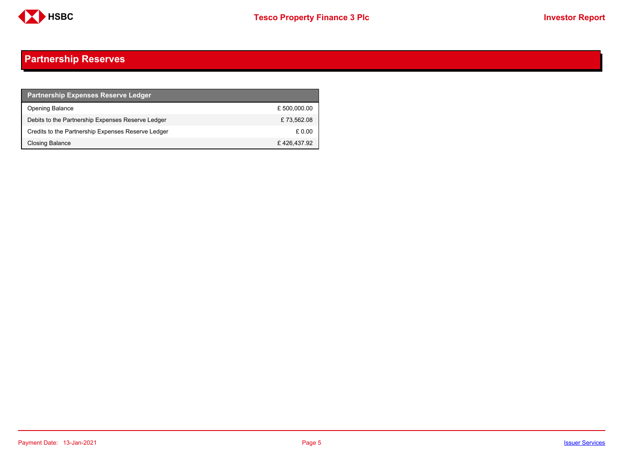

## <span id="page-4-0"></span>**Partnership Reserves**

| <b>Partnership Expenses Reserve Ledger</b>         |              |
|----------------------------------------------------|--------------|
| <b>Opening Balance</b>                             | £ 500,000.00 |
| Debits to the Partnership Expenses Reserve Ledger  | £73.562.08   |
| Credits to the Partnership Expenses Reserve Ledger | £ 0.00       |
| Closing Balance                                    | £426,437.92  |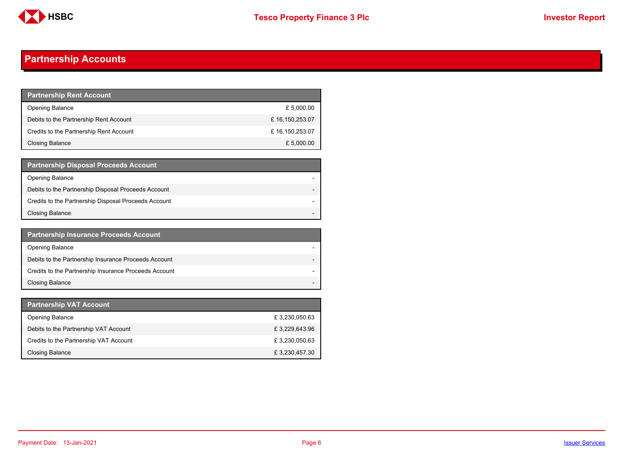

## <span id="page-5-0"></span>**Partnership Accounts**

| <b>Partnership Rent Account</b>         |                |
|-----------------------------------------|----------------|
| <b>Opening Balance</b>                  | £ 5,000.00     |
| Debits to the Partnership Rent Account  | £16,150,253.07 |
| Credits to the Partnership Rent Account | £16,150,253.07 |
| Closing Balance                         | £ 5,000.00     |

| <b>Partnership Disposal Proceeds Account</b>         |  |
|------------------------------------------------------|--|
| Opening Balance                                      |  |
| Debits to the Partnership Disposal Proceeds Account  |  |
| Credits to the Partnership Disposal Proceeds Account |  |
| <b>Closing Balance</b>                               |  |

| <b>Partnership Insurance Proceeds Account</b>         |  |
|-------------------------------------------------------|--|
| <b>Opening Balance</b>                                |  |
| Debits to the Partnership Insurance Proceeds Account  |  |
| Credits to the Partnership Insurance Proceeds Account |  |
| <b>Closing Balance</b>                                |  |

| <b>Partnership VAT Account</b>         |               |
|----------------------------------------|---------------|
| <b>Opening Balance</b>                 | £3,230,050.63 |
| Debits to the Partnership VAT Account  | £3,229,643.96 |
| Credits to the Partnership VAT Account | £3,230,050.63 |
| Closing Balance                        | £3,230,457.30 |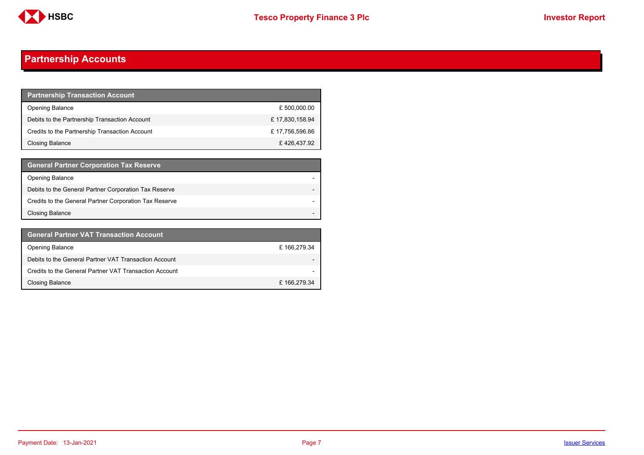

## **Partnership Accounts**

| <b>Partnership Transaction Account</b>         |                |
|------------------------------------------------|----------------|
| <b>Opening Balance</b>                         | £ 500,000.00   |
| Debits to the Partnership Transaction Account  | £17,830,158.94 |
| Credits to the Partnership Transaction Account | £17,756,596.86 |
| Closing Balance                                | £426,437.92    |

| <b>General Partner Corporation Tax Reserve</b>         |  |
|--------------------------------------------------------|--|
| <b>Opening Balance</b>                                 |  |
| Debits to the General Partner Corporation Tax Reserve  |  |
| Credits to the General Partner Corporation Tax Reserve |  |
| <b>Closing Balance</b>                                 |  |

| <b>General Partner VAT Transaction Account</b>         |                          |
|--------------------------------------------------------|--------------------------|
| <b>Opening Balance</b>                                 | £166,279.34              |
| Debits to the General Partner VAT Transaction Account  | $\overline{\phantom{0}}$ |
| Credits to the General Partner VAT Transaction Account | $\overline{\phantom{0}}$ |
| <b>Closing Balance</b>                                 | £166,279.34              |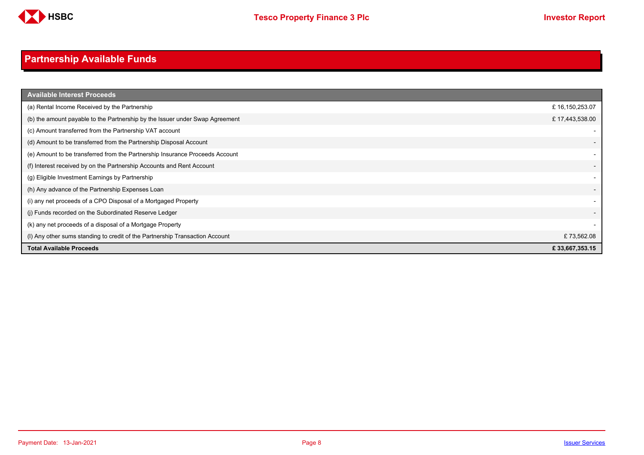

# <span id="page-7-0"></span>**Partnership Available Funds**

| <b>Available Interest Proceeds</b>                                           |                          |
|------------------------------------------------------------------------------|--------------------------|
| (a) Rental Income Received by the Partnership                                | £16,150,253.07           |
| (b) the amount payable to the Partnership by the Issuer under Swap Agreement | £17,443,538.00           |
| (c) Amount transferred from the Partnership VAT account                      |                          |
| (d) Amount to be transferred from the Partnership Disposal Account           |                          |
| (e) Amount to be transferred from the Partnership Insurance Proceeds Account |                          |
| (f) Interest received by on the Partnership Accounts and Rent Account        | $\overline{\phantom{0}}$ |
| (g) Eligible Investment Earnings by Partnership                              |                          |
| (h) Any advance of the Partnership Expenses Loan                             | $\overline{\phantom{a}}$ |
| (i) any net proceeds of a CPO Disposal of a Mortgaged Property               | $\overline{\phantom{a}}$ |
| (j) Funds recorded on the Subordinated Reserve Ledger                        |                          |
| (k) any net proceeds of a disposal of a Mortgage Property                    |                          |
| (I) Any other sums standing to credit of the Partnership Transaction Account | £73,562.08               |
| <b>Total Available Proceeds</b>                                              | £33,667,353.15           |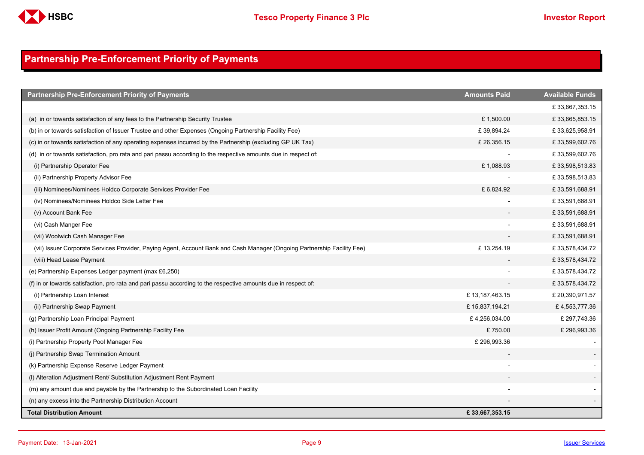

## <span id="page-8-0"></span>**Partnership Pre-Enforcement Priority of Payments**

| <b>Partnership Pre-Enforcement Priority of Payments</b>                                                                  | <b>Amounts Paid</b> | <b>Available Funds</b> |
|--------------------------------------------------------------------------------------------------------------------------|---------------------|------------------------|
|                                                                                                                          |                     | £33,667,353.15         |
| (a) in or towards satisfaction of any fees to the Partnership Security Trustee                                           | £1,500.00           | £33,665,853.15         |
| (b) in or towards satisfaction of Issuer Trustee and other Expenses (Ongoing Partnership Facility Fee)                   | £39,894.24          | £33,625,958.91         |
| (c) in or towards satisfaction of any operating expenses incurred by the Partnership (excluding GP UK Tax)               | £26,356.15          | £33,599,602.76         |
| (d) in or towards satisfaction, pro rata and pari passu according to the respective amounts due in respect of:           |                     | £33,599,602.76         |
| (i) Partnership Operator Fee                                                                                             | £1,088.93           | £33,598,513.83         |
| (ii) Partnership Property Advisor Fee                                                                                    |                     | £33,598,513.83         |
| (iii) Nominees/Nominees Holdco Corporate Services Provider Fee                                                           | £ 6,824.92          | £33,591,688.91         |
| (iv) Nominees/Nominees Holdco Side Letter Fee                                                                            |                     | £33,591,688.91         |
| (v) Account Bank Fee                                                                                                     |                     | £33,591,688.91         |
| (vi) Cash Manger Fee                                                                                                     |                     | £33,591,688.91         |
| (vii) Woolwich Cash Manager Fee                                                                                          |                     | £33,591,688.91         |
| (vii) Issuer Corporate Services Provider, Paying Agent, Account Bank and Cash Manager (Ongoing Partnership Facility Fee) | £13,254.19          | £33,578,434.72         |
| (viii) Head Lease Payment                                                                                                |                     | £33,578,434.72         |
| (e) Partnership Expenses Ledger payment (max £6,250)                                                                     |                     | £33,578,434.72         |
| (f) in or towards satisfaction, pro rata and pari passu according to the respective amounts due in respect of:           |                     | £33,578,434.72         |
| (i) Partnership Loan Interest                                                                                            | £13,187,463.15      | £ 20,390,971.57        |
| (ii) Partnership Swap Payment                                                                                            | £15,837,194.21      | £4,553,777.36          |
| (g) Partnership Loan Principal Payment                                                                                   | £4,256,034.00       | £ 297,743.36           |
| (h) Issuer Profit Amount (Ongoing Partnership Facility Fee                                                               | £750.00             | £296,993.36            |
| (i) Partnership Property Pool Manager Fee                                                                                | £ 296,993.36        |                        |
| (i) Partnership Swap Termination Amount                                                                                  |                     |                        |
| (k) Partnership Expense Reserve Ledger Payment                                                                           |                     |                        |
| (I) Alteration Adjustment Rent/ Substitution Adjustment Rent Payment                                                     |                     |                        |
| (m) any amount due and payable by the Partnership to the Subordinated Loan Facility                                      |                     |                        |
| (n) any excess into the Partnership Distribution Account                                                                 |                     |                        |
| <b>Total Distribution Amount</b>                                                                                         | £33,667,353.15      |                        |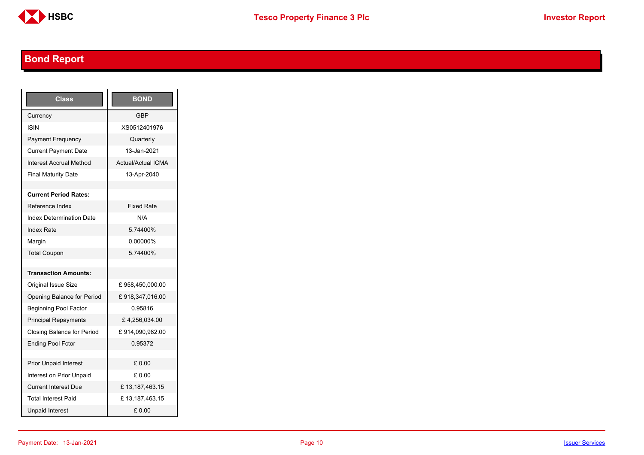

# <span id="page-9-0"></span>**Bond Report**

| <b>Class</b>                      | <b>BOND</b>               |
|-----------------------------------|---------------------------|
| Currency                          | <b>GBP</b>                |
| <b>ISIN</b>                       | XS0512401976              |
| <b>Payment Frequency</b>          | Quarterly                 |
| <b>Current Payment Date</b>       | 13-Jan-2021               |
| <b>Interest Accrual Method</b>    | <b>Actual/Actual ICMA</b> |
| <b>Final Maturity Date</b>        | 13-Apr-2040               |
|                                   |                           |
| <b>Current Period Rates:</b>      |                           |
| Reference Index                   | <b>Fixed Rate</b>         |
| <b>Index Determination Date</b>   | N/A                       |
| <b>Index Rate</b>                 | 5.74400%                  |
| Margin                            | 0.00000%                  |
| <b>Total Coupon</b>               | 574400%                   |
|                                   |                           |
| <b>Transaction Amounts:</b>       |                           |
| <b>Original Issue Size</b>        | £958,450,000.00           |
| Opening Balance for Period        | £918,347,016.00           |
| <b>Beginning Pool Factor</b>      | 0.95816                   |
| <b>Principal Repayments</b>       | £4,256,034.00             |
| <b>Closing Balance for Period</b> | £914,090,982.00           |
| <b>Ending Pool Fctor</b>          | 0.95372                   |
|                                   |                           |
| <b>Prior Unpaid Interest</b>      | £0.00                     |
| Interest on Prior Unpaid          | £ 0.00                    |
| <b>Current Interest Due</b>       | £13,187,463.15            |
| <b>Total Interest Paid</b>        | £13,187,463.15            |
| <b>Unpaid Interest</b>            | £0.00                     |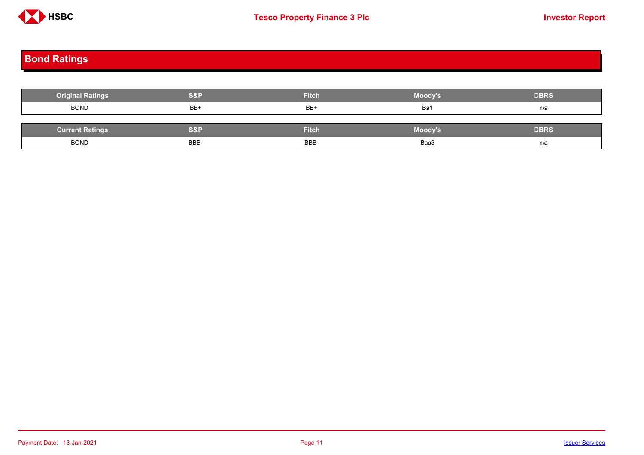

# <span id="page-10-0"></span>**Bond Ratings**

| <b>Original Ratings</b> | <b>S&amp;P</b> | <b>Fitch</b> | Moody's | <b>DBRS</b> |
|-------------------------|----------------|--------------|---------|-------------|
| <b>BOND</b>             | BB+            | BB+          | Ba1     | n/a         |
|                         |                |              |         |             |
| <b>Current Ratings</b>  | <b>S&amp;P</b> | <b>Fitch</b> | Moody's | <b>DBRS</b> |
| <b>BOND</b>             | BBB-           | BBB-         | Baa3    | n/a         |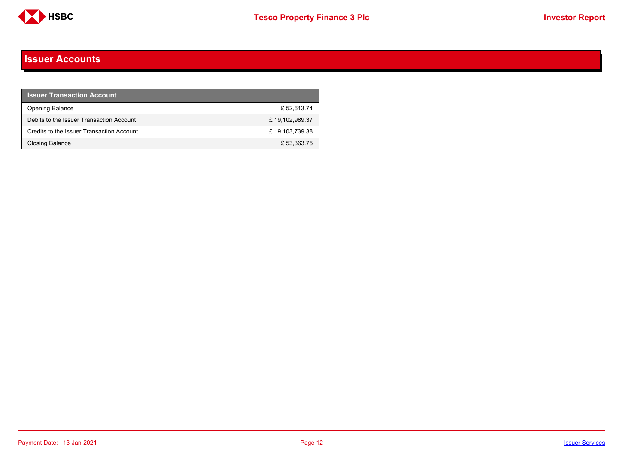

#### <span id="page-11-0"></span>**Issuer Accounts**

| <b>Issuer Transaction Account</b>         |                |
|-------------------------------------------|----------------|
| <b>Opening Balance</b>                    | £52.613.74     |
| Debits to the Issuer Transaction Account  | £19,102,989.37 |
| Credits to the Issuer Transaction Account | £19,103,739.38 |
| <b>Closing Balance</b>                    | £53,363.75     |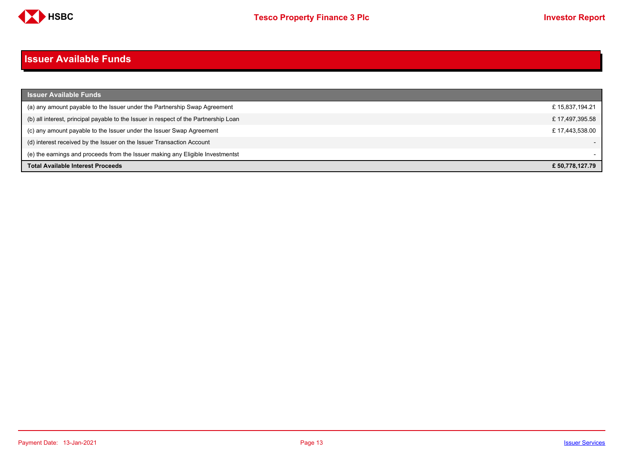

#### <span id="page-12-0"></span>**Issuer Available Funds**

| <b>Issuer Available Funds</b>                                                        |                 |
|--------------------------------------------------------------------------------------|-----------------|
| (a) any amount payable to the Issuer under the Partnership Swap Agreement            | £15,837,194.21  |
| (b) all interest, principal payable to the Issuer in respect of the Partnership Loan | £17,497,395.58  |
| (c) any amount payable to the Issuer under the Issuer Swap Agreement                 | £17,443,538.00  |
| (d) interest received by the Issuer on the Issuer Transaction Account                |                 |
| (e) the earnings and proceeds from the Issuer making any Eligible Investmentst       |                 |
| <b>Total Available Interest Proceeds</b>                                             | £ 50,778,127.79 |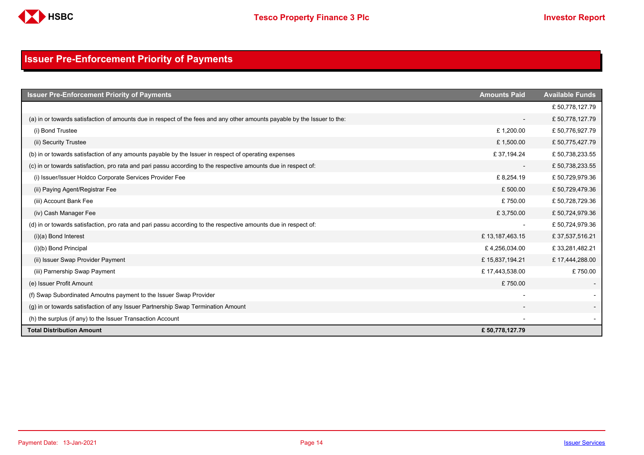

## <span id="page-13-0"></span>**Issuer Pre-Enforcement Priority of Payments**

| <b>Issuer Pre-Enforcement Priority of Payments</b>                                                                       | <b>Amounts Paid</b>      | <b>Available Funds</b> |
|--------------------------------------------------------------------------------------------------------------------------|--------------------------|------------------------|
|                                                                                                                          |                          | £50,778,127.79         |
| (a) in or towards satisfaction of amounts due in respect of the fees and any other amounts payable by the Issuer to the: | $\overline{\phantom{a}}$ | £50,778,127.79         |
| (i) Bond Trustee                                                                                                         | £1,200.00                | £50,776,927.79         |
| (ii) Security Trustee                                                                                                    | £1,500.00                | £50,775,427.79         |
| (b) in or towards satisfaction of any amounts payable by the Issuer in respect of operating expenses                     | £37,194.24               | £50,738,233.55         |
| (c) in or towards satisfaction, pro rata and pari passu according to the respective amounts due in respect of:           | $\overline{\phantom{a}}$ | £50,738,233.55         |
| (i) Issuer/Issuer Holdco Corporate Services Provider Fee                                                                 | £8,254.19                | £50,729,979.36         |
| (ii) Paying Agent/Registrar Fee                                                                                          | £500.00                  | £50,729,479.36         |
| (iii) Account Bank Fee                                                                                                   | £750.00                  | £50,728,729.36         |
| (iv) Cash Manager Fee                                                                                                    | £3,750.00                | £50,724,979.36         |
| (d) in or towards satisfaction, pro rata and pari passu according to the respective amounts due in respect of:           | $\overline{\phantom{a}}$ | £50,724,979.36         |
| $(i)(a)$ Bond Interest                                                                                                   | £13,187,463.15           | £37,537,516.21         |
| (i)(b) Bond Principal                                                                                                    | £4,256,034.00            | £33,281,482.21         |
| (ii) Issuer Swap Provider Payment                                                                                        | £15,837,194.21           | £17,444,288.00         |
| (iii) Parnership Swap Payment                                                                                            | £17,443,538.00           | £750.00                |
| (e) Issuer Profit Amount                                                                                                 | £750.00                  |                        |
| (f) Swap Subordinated Amoutns payment to the Issuer Swap Provider                                                        |                          |                        |
| (g) in or towards satisfaction of any Issuer Partnership Swap Termination Amount                                         |                          |                        |
| (h) the surplus (if any) to the Issuer Transaction Account                                                               |                          |                        |
| <b>Total Distribution Amount</b>                                                                                         | £ 50,778,127.79          |                        |